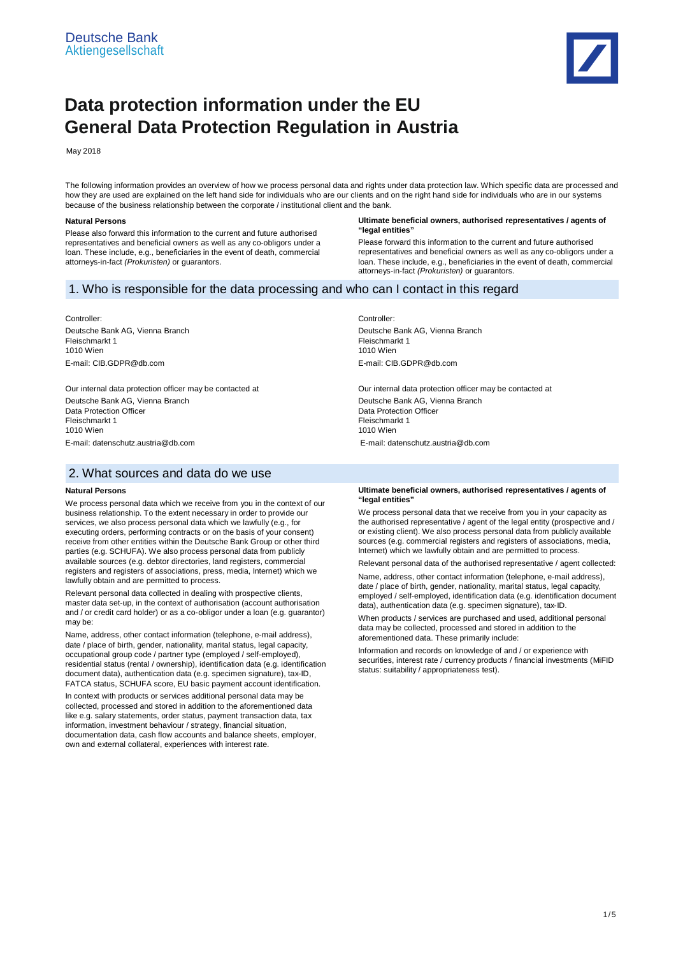

# **Data protection information under the EU General Data Protection Regulation in Austria**

May 2018

The following information provides an overview of how we process personal data and rights under data protection law. Which specific data are processed and how they are used are explained on the left hand side for individuals who are our clients and on the right hand side for individuals who are in our systems because of the business relationship between the corporate / institutional client and the bank.

### **Natural Persons**

Please also forward this information to the current and future authorised representatives and beneficial owners as well as any co-obligors under a loan. These include, e.g., beneficiaries in the event of death, commercial attorneys-in-fact *(Prokuristen)* or guarantors.

### **Ultimate beneficial owners, authorised representatives / agents of "legal entities"**

Please forward this information to the current and future authorised representatives and beneficial owners as well as any co-obligors under a loan. These include, e.g., beneficiaries in the event of death, commercial attorneys-in-fact *(Prokuristen)* or guarantors.

# 1. Who is responsible for the data processing and who can I contact in this regard

Controller: Deutsche Bank AG, Vienna Branch Fleischmarkt 1 1010 Wien E-mail: CIB.GDPR@db.com

Our internal data protection officer may be contacted at Deutsche Bank AG, Vienna Branch Data Protection Officer Fleischmarkt 1 1010 Wien E-mail: datenschutz.austria@db.com

# 2. What sources and data do we use

### **Natural Persons**

We process personal data which we receive from you in the context of our business relationship. To the extent necessary in order to provide our services, we also process personal data which we lawfully (e.g., for executing orders, performing contracts or on the basis of your consent) receive from other entities within the Deutsche Bank Group or other third parties (e.g. SCHUFA). We also process personal data from publicly available sources (e.g. debtor directories, land registers, commercial registers and registers of associations, press, media, Internet) which we lawfully obtain and are permitted to process.

Relevant personal data collected in dealing with prospective clients, master data set-up, in the context of authorisation (account authorisation and / or credit card holder) or as a co-obligor under a loan (e.g. guarantor) may be:

Name, address, other contact information (telephone, e-mail address), date / place of birth, gender, nationality, marital status, legal capacity, occupational group code / partner type (employed / self-employed), residential status (rental / ownership), identification data (e.g. identification document data), authentication data (e.g. specimen signature), tax-ID, FATCA status, SCHUFA score, EU basic payment account identification.

In context with products or services additional personal data may be collected, processed and stored in addition to the aforementioned data like e.g. salary statements, order status, payment transaction data, tax information, investment behaviour / strategy, financial situation, documentation data, cash flow accounts and balance sheets, employer, own and external collateral, experiences with interest rate.

Controller: Deutsche Bank AG, Vienna Branch Fleischmarkt 1 1010 Wien E-mail: CIB.GDPR@db.com

Our internal data protection officer may be contacted at Deutsche Bank AG, Vienna Branch Data Protection Officer Fleischmarkt 1 1010 Wien E-mail: datenschutz.austria@db.com

### **Ultimate beneficial owners, authorised representatives / agents of "legal entities"**

We process personal data that we receive from you in your capacity as the authorised representative / agent of the legal entity (prospective and / or existing client). We also process personal data from publicly available sources (e.g. commercial registers and registers of associations, media, Internet) which we lawfully obtain and are permitted to process.

Relevant personal data of the authorised representative / agent collected:

Name, address, other contact information (telephone, e-mail address), date / place of birth, gender, nationality, marital status, legal capacity, employed / self-employed, identification data (e.g. identification document data), authentication data (e.g. specimen signature), tax-ID.

When products / services are purchased and used, additional personal data may be collected, processed and stored in addition to the aforementioned data. These primarily include:

Information and records on knowledge of and / or experience with securities, interest rate / currency products / financial investments (MiFID status: suitability / appropriateness test).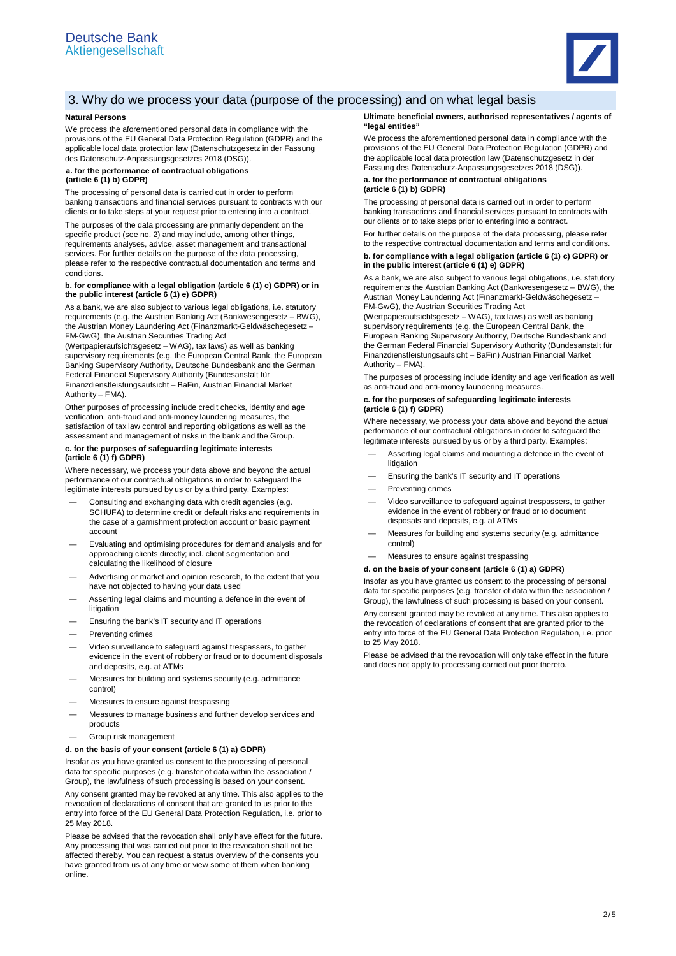

# 3. Why do we process your data (purpose of the processing) and on what legal basis

### **Natural Persons**

We process the aforementioned personal data in compliance with the provisions of the EU General Data Protection Regulation (GDPR) and the applicable local data protection law (Datenschutzgesetz in der Fassung des Datenschutz-Anpassungsgesetzes 2018 (DSG)).

### **a. for the performance of contractual obligations (article 6 (1) b) GDPR)**

The processing of personal data is carried out in order to perform banking transactions and financial services pursuant to contracts with our clients or to take steps at your request prior to entering into a contract.

The purposes of the data processing are primarily dependent on the specific product (see no. 2) and may include, among other things, requirements analyses, advice, asset management and transactional services. For further details on the purpose of the data processing, please refer to the respective contractual documentation and terms and conditions.

### **b. for compliance with a legal obligation (article 6 (1) c) GDPR) or in the public interest (article 6 (1) e) GDPR)**

As a bank, we are also subject to various legal obligations, i.e. statutory requirements (e.g. the Austrian Banking Act (Bankwesengesetz – BWG), the Austrian Money Laundering Act (Finanzmarkt-Geldwäschegesetz – FM-GwG), the Austrian Securities Trading Act

(Wertpapieraufsichtsgesetz – WAG), tax laws) as well as banking supervisory requirements (e.g. the European Central Bank, the European Banking Supervisory Authority, Deutsche Bundesbank and the German Federal Financial Supervisory Authority (Bundesanstalt für Finanzdienstleistungsaufsicht – BaFin, Austrian Financial Market Authority – FMA).

Other purposes of processing include credit checks, identity and age verification, anti-fraud and anti-money laundering measures, the satisfaction of tax law control and reporting obligations as well as the assessment and management of risks in the bank and the Group.

### **c. for the purposes of safeguarding legitimate interests (article 6 (1) f) GDPR)**

Where necessary, we process your data above and beyond the actual performance of our contractual obligations in order to safeguard the legitimate interests pursued by us or by a third party. Examples:

- Consulting and exchanging data with credit agencies (e.g. SCHUFA) to determine credit or default risks and requirements in the case of a garnishment protection account or basic payment account
- Evaluating and optimising procedures for demand analysis and for approaching clients directly; incl. client segmentation and calculating the likelihood of closure
- Advertising or market and opinion research, to the extent that you have not objected to having your data used
- Asserting legal claims and mounting a defence in the event of litigation
- Ensuring the bank's IT security and IT operations
- Preventing crimes
- Video surveillance to safeguard against trespassers, to gather evidence in the event of robbery or fraud or to document disposals and deposits, e.g. at ATMs
- Measures for building and systems security (e.g. admittance control)
- Measures to ensure against trespassing
- Measures to manage business and further develop services and products
- Group risk management

### **d. on the basis of your consent (article 6 (1) a) GDPR)**

Insofar as you have granted us consent to the processing of personal data for specific purposes (e.g. transfer of data within the association / Group), the lawfulness of such processing is based on your consent.

Any consent granted may be revoked at any time. This also applies to the revocation of declarations of consent that are granted to us prior to the entry into force of the EU General Data Protection Regulation, i.e. prior to 25 May 2018.

Please be advised that the revocation shall only have effect for the future. Any processing that was carried out prior to the revocation shall not be affected thereby. You can request a status overview of the consents you have granted from us at any time or view some of them when banking online.

### **Ultimate beneficial owners, authorised representatives / agents of "legal entities"**

We process the aforementioned personal data in compliance with the provisions of the EU General Data Protection Regulation (GDPR) and the applicable local data protection law (Datenschutzgesetz in der Fassung des Datenschutz-Anpassungsgesetzes 2018 (DSG)).

### **a. for the performance of contractual obligations (article 6 (1) b) GDPR)**

The processing of personal data is carried out in order to perform banking transactions and financial services pursuant to contracts with our clients or to take steps prior to entering into a contract.

For further details on the purpose of the data processing, please refer to the respective contractual documentation and terms and conditions.

**b. for compliance with a legal obligation (article 6 (1) c) GDPR) or in the public interest (article 6 (1) e) GDPR)**

As a bank, we are also subject to various legal obligations, i.e. statutory requirements the Austrian Banking Act (Bankwesengesetz – BWG), the Austrian Money Laundering Act (Finanzmarkt-Geldwäschegesetz – FM-GwG), the Austrian Securities Trading Act

(Wertpapieraufsichtsgesetz – WAG), tax laws) as well as banking supervisory requirements (e.g. the European Central Bank, the European Banking Supervisory Authority, Deutsche Bundesbank and the German Federal Financial Supervisory Authority (Bundesanstalt für Finanzdienstleistungsaufsicht – BaFin) Austrian Financial Market Authority – FMA).

The purposes of processing include identity and age verification as well as anti-fraud and anti-money laundering measures.

### **c. for the purposes of safeguarding legitimate interests (article 6 (1) f) GDPR)**

Where necessary, we process your data above and beyond the actual performance of our contractual obligations in order to safeguard the legitimate interests pursued by us or by a third party. Examples:

- Asserting legal claims and mounting a defence in the event of litigation
- Ensuring the bank's IT security and IT operations
- Preventing crimes
- Video surveillance to safeguard against trespassers, to gather evidence in the event of robbery or fraud or to document disposals and deposits, e.g. at ATMs
- Measures for building and systems security (e.g. admittance control)
- Measures to ensure against trespassing

### **d. on the basis of your consent (article 6 (1) a) GDPR)**

Insofar as you have granted us consent to the processing of personal data for specific purposes (e.g. transfer of data within the association / Group), the lawfulness of such processing is based on your consent.

Any consent granted may be revoked at any time. This also applies to the revocation of declarations of consent that are granted prior to the entry into force of the EU General Data Protection Regulation, i.e. prior to 25 May 2018.

Please be advised that the revocation will only take effect in the future and does not apply to processing carried out prior thereto.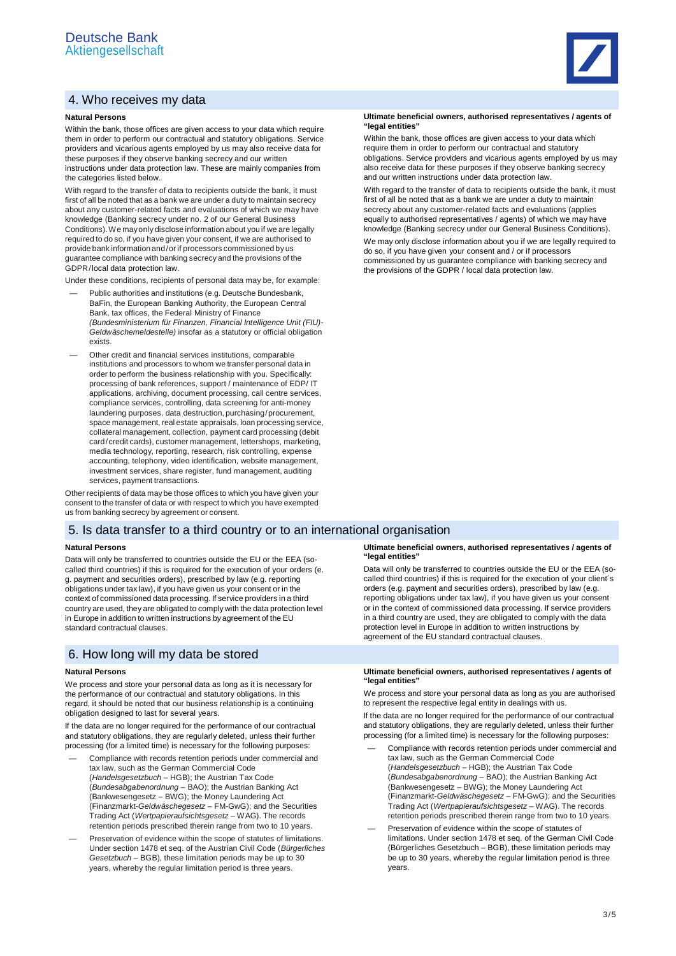# 4. Who receives my data

### **Natural Persons**

Within the bank, those offices are given access to your data which require them in order to perform our contractual and statutory obligations. Service providers and vicarious agents employed by us may also receive data for these purposes if they observe banking secrecy and our written instructions under data protection law. These are mainly companies from the categories listed below.

With regard to the transfer of data to recipients outside the bank, it must first of all be noted that as a bank we are under a duty to maintain secrecy about any customer-related facts and evaluations of which we may have knowledge (Banking secrecy under no. 2 of our General Business Conditions). We may only disclose information about you if we are legally required to do so, if you have given your consent, if we are authorised to provide bank information and / or if processors commissioned by us guarantee compliance with banking secrecy and the provisions of the GDPR /local data protection law.

Under these conditions, recipients of personal data may be, for example:

- Public authorities and institutions (e.g. Deutsche Bundesbank, BaFin, the European Banking Authority, the European Central Bank, tax offices, the Federal Ministry of Finance *(Bundesministerium für Finanzen, Financial Intelligence Unit (FIU)- Geldwäschemeldestelle)* insofar as a statutory or official obligation exists.
- Other credit and financial services institutions, comparable institutions and processors to whom we transfer personal data in order to perform the business relationship with you. Specifically: processing of bank references, support / maintenance of EDP/ IT applications, archiving, document processing, call centre services, compliance services, controlling, data screening for anti-money laundering purposes, data destruction, purchasing/procurement, space management, real estate appraisals, loan processing service collateral management, collection, payment card processing (debit card/credit cards), customer management, lettershops, marketing, media technology, reporting, research, risk controlling, expense accounting, telephony, video identification, website management, investment services, share register, fund management, auditing services, payment transactions.

Other recipients of data may be those offices to which you have given your consent to the transfer of data or with respect to which you have exempted us from banking secrecy by agreement or consent.

# 5. Is data transfer to a third country or to an international organisation

#### **Natural Persons**

Data will only be transferred to countries outside the EU or the EEA (socalled third countries) if this is required for the execution of your orders (e. g. payment and securities orders), prescribed by law (e.g. reporting obligations under tax law), if you have given us your consent or in the context of commissioned data processing. If service providers in a third country are used, they are obligated to comply with the data protection level in Europe in addition to written instructions by agreement of the EU standard contractual clauses.

### 6. How long will my data be stored

### **Natural Persons**

We process and store your personal data as long as it is necessary for the performance of our contractual and statutory obligations. In this regard, it should be noted that our business relationship is a continuing obligation designed to last for several years.

If the data are no longer required for the performance of our contractual and statutory obligations, they are regularly deleted, unless their further processing (for a limited time) is necessary for the following purposes:

- Compliance with records retention periods under commercial and tax law, such as the German Commercial Code (*Handelsgesetzbuch* – HGB); the Austrian Tax Code (*Bundesabgabenordnung* – BAO); the Austrian Banking Act (Bankwesengesetz – BWG); the Money Laundering Act (Finanzmarkt-*Geldwäschegesetz* – FM-GwG); and the Securities Trading Act (*Wertpapieraufsichtsgesetz* – WAG). The records retention periods prescribed therein range from two to 10 years.
- Preservation of evidence within the scope of statutes of limitations. Under section 1478 et seq. of the Austrian Civil Code (*Bürgerliches Gesetzbuch* – BGB), these limitation periods may be up to 30 years, whereby the regular limitation period is three years.



### **Ultimate beneficial owners, authorised representatives / agents of "legal entities"**

Within the bank, those offices are given access to your data which require them in order to perform our contractual and statutory obligations. Service providers and vicarious agents employed by us may also receive data for these purposes if they observe banking secrecy and our written instructions under data protection law.

With regard to the transfer of data to recipients outside the bank, it must first of all be noted that as a bank we are under a duty to maintain secrecy about any customer-related facts and evaluations (applies equally to authorised representatives / agents) of which we may have knowledge (Banking secrecy under our General Business Conditions).

We may only disclose information about you if we are legally required to do so, if you have given your consent and / or if processors commissioned by us guarantee compliance with banking secrecy and the provisions of the GDPR / local data protection law.

### **Ultimate beneficial owners, authorised representatives / agents of "legal entities"**

Data will only be transferred to countries outside the EU or the EEA (socalled third countries) if this is required for the execution of your client´s orders (e.g. payment and securities orders), prescribed by law (e.g. reporting obligations under tax law), if you have given us your consent or in the context of commissioned data processing. If service providers in a third country are used, they are obligated to comply with the data protection level in Europe in addition to written instructions by agreement of the EU standard contractual clauses.

### **Ultimate beneficial owners, authorised representatives / agents of "legal entities"**

We process and store your personal data as long as you are authorised to represent the respective legal entity in dealings with us.

If the data are no longer required for the performance of our contractual and statutory obligations, they are regularly deleted, unless their further processing (for a limited time) is necessary for the following purposes:

- Compliance with records retention periods under commercial and tax law, such as the German Commercial Code (*Handelsgesetzbuch* – HGB); the Austrian Tax Code (*Bundesabgabenordnung* – BAO); the Austrian Banking Act (Bankwesengesetz – BWG); the Money Laundering Act (Finanzmarkt-*Geldwäschegesetz* – FM-GwG); and the Securities Trading Act (*Wertpapieraufsichtsgesetz* – WAG). The records retention periods prescribed therein range from two to 10 years.
- Preservation of evidence within the scope of statutes of limitations. Under section 1478 et seq. of the German Civil Code (Bürgerliches Gesetzbuch – BGB), these limitation periods may be up to 30 years, whereby the regular limitation period is three years.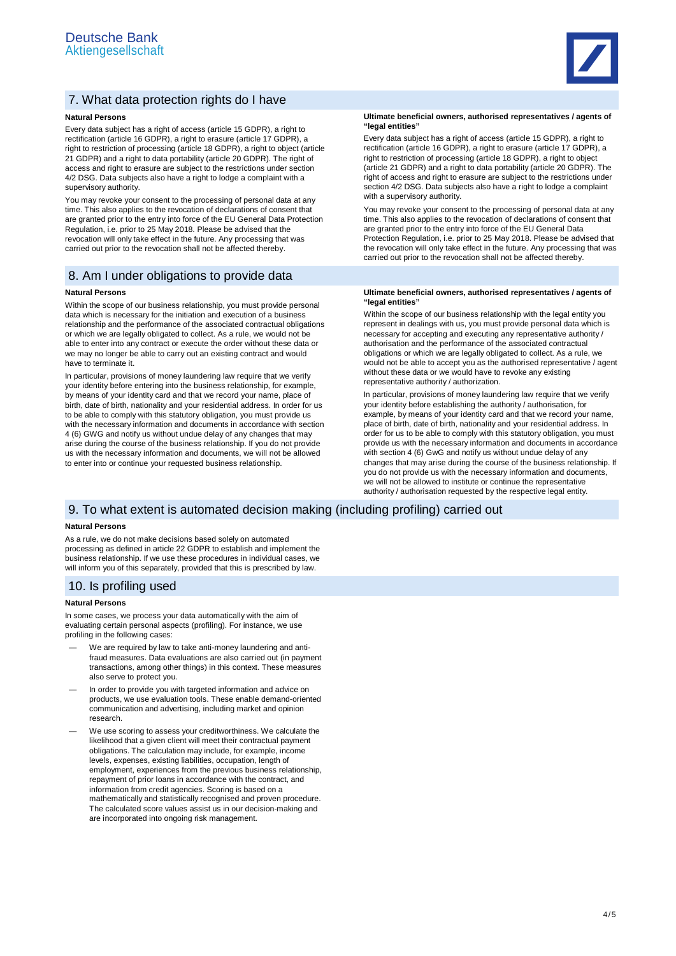

# 7. What data protection rights do I have

### **Natural Persons**

Every data subject has a right of access (article 15 GDPR), a right to rectification (article 16 GDPR), a right to erasure (article 17 GDPR), a right to restriction of processing (article 18 GDPR), a right to object (article 21 GDPR) and a right to data portability (article 20 GDPR). The right of access and right to erasure are subject to the restrictions under section 4/2 DSG. Data subjects also have a right to lodge a complaint with a supervisory authority.

You may revoke your consent to the processing of personal data at any time. This also applies to the revocation of declarations of consent that are granted prior to the entry into force of the EU General Data Protection Regulation, i.e. prior to 25 May 2018. Please be advised that the revocation will only take effect in the future. Any processing that was carried out prior to the revocation shall not be affected thereby.

# 8. Am I under obligations to provide data

### **Natural Persons**

Within the scope of our business relationship, you must provide personal data which is necessary for the initiation and execution of a business relationship and the performance of the associated contractual obligations or which we are legally obligated to collect. As a rule, we would not be able to enter into any contract or execute the order without these data or we may no longer be able to carry out an existing contract and would have to terminate it.

In particular, provisions of money laundering law require that we verify your identity before entering into the business relationship, for example, by means of your identity card and that we record your name, place of birth, date of birth, nationality and your residential address. In order for us to be able to comply with this statutory obligation, you must provide us with the necessary information and documents in accordance with section 4 (6) GWG and notify us without undue delay of any changes that may arise during the course of the business relationship. If you do not provide us with the necessary information and documents, we will not be allowed to enter into or continue your requested business relationship.

### **Ultimate beneficial owners, authorised representatives / agents of "legal entities"**

Every data subject has a right of access (article 15 GDPR), a right to rectification (article 16 GDPR), a right to erasure (article 17 GDPR), a right to restriction of processing (article 18 GDPR), a right to object (article 21 GDPR) and a right to data portability (article 20 GDPR). The right of access and right to erasure are subject to the restrictions under section 4/2 DSG. Data subjects also have a right to lodge a complaint with a supervisory authority.

You may revoke your consent to the processing of personal data at any time. This also applies to the revocation of declarations of consent that are granted prior to the entry into force of the EU General Data Protection Regulation, i.e. prior to 25 May 2018. Please be advised that the revocation will only take effect in the future. Any processing that was carried out prior to the revocation shall not be affected thereby.

### **Ultimate beneficial owners, authorised representatives / agents of "legal entities"**

Within the scope of our business relationship with the legal entity you represent in dealings with us, you must provide personal data which is necessary for accepting and executing any representative authority / authorisation and the performance of the associated contractual obligations or which we are legally obligated to collect. As a rule, we would not be able to accept you as the authorised representative / agent without these data or we would have to revoke any existing representative authority / authorization.

In particular, provisions of money laundering law require that we verify your identity before establishing the authority / authorisation, for example, by means of your identity card and that we record your name, place of birth, date of birth, nationality and your residential address. In order for us to be able to comply with this statutory obligation, you must provide us with the necessary information and documents in accordance with section 4 (6) GwG and notify us without undue delay of any changes that may arise during the course of the business relationship. If you do not provide us with the necessary information and documents, we will not be allowed to institute or continue the representative authority / authorisation requested by the respective legal entity.

### 9. To what extent is automated decision making (including profiling) carried out

### **Natural Persons**

As a rule, we do not make decisions based solely on automated processing as defined in article 22 GDPR to establish and implement the business relationship. If we use these procedures in individual cases, we will inform you of this separately, provided that this is prescribed by law.

### 10. Is profiling used

### **Natural Persons**

In some cases, we process your data automatically with the aim of evaluating certain personal aspects (profiling). For instance, we use profiling in the following cases:

- We are required by law to take anti-money laundering and antifraud measures. Data evaluations are also carried out (in payment transactions, among other things) in this context. These measures also serve to protect you.
- In order to provide you with targeted information and advice on products, we use evaluation tools. These enable demand-oriented communication and advertising, including market and opinion research.
- We use scoring to assess your creditworthiness. We calculate the likelihood that a given client will meet their contractual payment obligations. The calculation may include, for example, income levels, expenses, existing liabilities, occupation, length of employment, experiences from the previous business relationship, repayment of prior loans in accordance with the contract, and information from credit agencies. Scoring is based on a mathematically and statistically recognised and proven procedure. The calculated score values assist us in our decision-making and are incorporated into ongoing risk management.